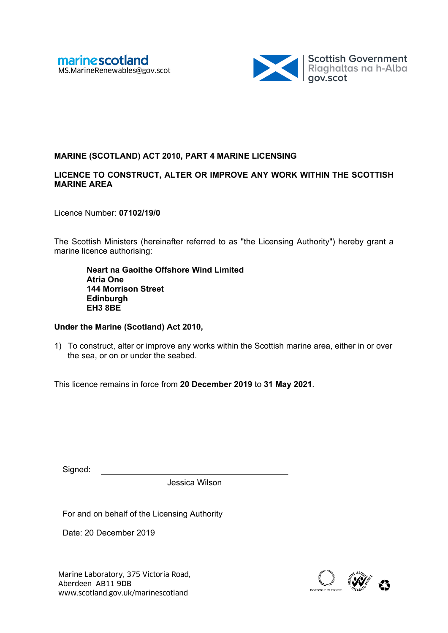

# **MARINE (SCOTLAND) ACT 2010, PART 4 MARINE LICENSING**

### **LICENCE TO CONSTRUCT, ALTER OR IMPROVE ANY WORK WITHIN THE SCOTTISH MARINE AREA**

Licence Number: **07102/19/0**

The Scottish Ministers (hereinafter referred to as "the Licensing Authority") hereby grant a marine licence authorising:

**Neart na Gaoithe Offshore Wind Limited Atria One 144 Morrison Street Edinburgh EH3 8BE** 

### **Under the Marine (Scotland) Act 2010,**

1) To construct, alter or improve any works within the Scottish marine area, either in or over the sea, or on or under the seabed.

This licence remains in force from **20 December 2019** to **31 May 2021**.

| Signed |  |
|--------|--|

Jessica Wilson

For and on behalf of the Licensing Authority

Date: 20 December 2019

Marine Laboratory, 375 Victoria Road, <br>Aberdeen AB11 9DB<br>www.scotland.gov.uk/marinescotland abcomputer about a contract about a contract about a contract of the state Aberdeen AB11 9DB

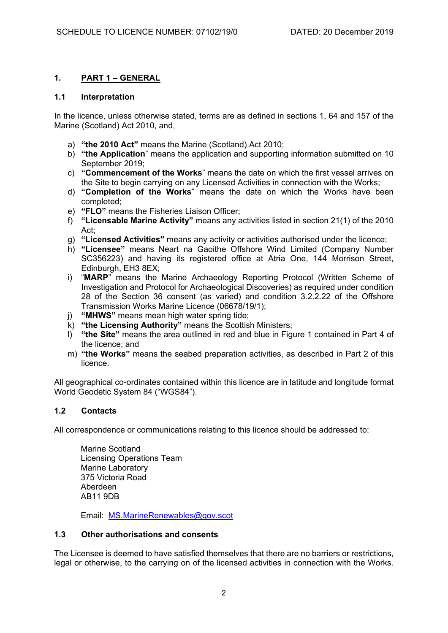## **1. PART 1 – GENERAL**

### **1.1 Interpretation**

In the licence, unless otherwise stated, terms are as defined in sections 1, 64 and 157 of the Marine (Scotland) Act 2010, and,

- a) **"the 2010 Act"** means the Marine (Scotland) Act 2010;
- b) **"the Application**" means the application and supporting information submitted on 10 September 2019;
- c) **"Commencement of the Works**" means the date on which the first vessel arrives on the Site to begin carrying on any Licensed Activities in connection with the Works;
- d) **"Completion of the Works**" means the date on which the Works have been completed;
- e) **"FLO"** means the Fisheries Liaison Officer;
- f) **"Licensable Marine Activity"** means any activities listed in section 21(1) of the 2010 Act;
- g) **"Licensed Activities"** means any activity or activities authorised under the licence;
- h) **"Licensee"** means Neart na Gaoithe Offshore Wind Limited (Company Number SC356223) and having its registered office at Atria One, 144 Morrison Street, Edinburgh, EH3 8EX;
- i) "**MARP**" means the Marine Archaeology Reporting Protocol (Written Scheme of Investigation and Protocol for Archaeological Discoveries) as required under condition 28 of the Section 36 consent (as varied) and condition 3.2.2.22 of the Offshore Transmission Works Marine Licence (06678/19/1);
- j) **"MHWS"** means mean high water spring tide;
- k) **"the Licensing Authority"** means the Scottish Ministers;
- l) **"the Site"** means the area outlined in red and blue in Figure 1 contained in Part 4 of the licence; and
- m) **"the Works"** means the seabed preparation activities, as described in Part 2 of this licence.

All geographical co-ordinates contained within this licence are in latitude and longitude format World Geodetic System 84 ("WGS84").

### **1.2 Contacts**

All correspondence or communications relating to this licence should be addressed to:

Marine Scotland Licensing Operations Team Marine Laboratory 375 Victoria Road Aberdeen AB11 9DB

Email: MS.MarineRenewables@gov.scot

### **1.3 Other authorisations and consents**

The Licensee is deemed to have satisfied themselves that there are no barriers or restrictions, legal or otherwise, to the carrying on of the licensed activities in connection with the Works.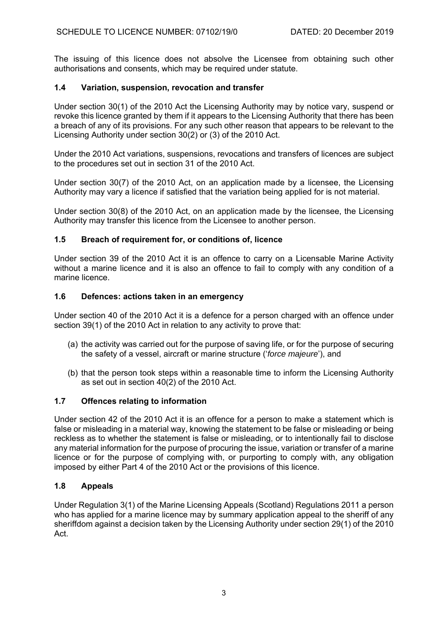The issuing of this licence does not absolve the Licensee from obtaining such other authorisations and consents, which may be required under statute.

## **1.4 Variation, suspension, revocation and transfer**

Under section 30(1) of the 2010 Act the Licensing Authority may by notice vary, suspend or revoke this licence granted by them if it appears to the Licensing Authority that there has been a breach of any of its provisions. For any such other reason that appears to be relevant to the Licensing Authority under section 30(2) or (3) of the 2010 Act.

Under the 2010 Act variations, suspensions, revocations and transfers of licences are subject to the procedures set out in section 31 of the 2010 Act.

Under section 30(7) of the 2010 Act, on an application made by a licensee, the Licensing Authority may vary a licence if satisfied that the variation being applied for is not material.

Under section 30(8) of the 2010 Act, on an application made by the licensee, the Licensing Authority may transfer this licence from the Licensee to another person.

### **1.5 Breach of requirement for, or conditions of, licence**

Under section 39 of the 2010 Act it is an offence to carry on a Licensable Marine Activity without a marine licence and it is also an offence to fail to comply with any condition of a marine licence.

### **1.6 Defences: actions taken in an emergency**

Under section 40 of the 2010 Act it is a defence for a person charged with an offence under section 39(1) of the 2010 Act in relation to any activity to prove that:

- (a) the activity was carried out for the purpose of saving life, or for the purpose of securing the safety of a vessel, aircraft or marine structure ('*force majeure*'), and
- (b) that the person took steps within a reasonable time to inform the Licensing Authority as set out in section 40(2) of the 2010 Act.

### **1.7 Offences relating to information**

Under section 42 of the 2010 Act it is an offence for a person to make a statement which is false or misleading in a material way, knowing the statement to be false or misleading or being reckless as to whether the statement is false or misleading, or to intentionally fail to disclose any material information for the purpose of procuring the issue, variation or transfer of a marine licence or for the purpose of complying with, or purporting to comply with, any obligation imposed by either Part 4 of the 2010 Act or the provisions of this licence.

### **1.8 Appeals**

Under Regulation 3(1) of the Marine Licensing Appeals (Scotland) Regulations 2011 a person who has applied for a marine licence may by summary application appeal to the sheriff of any sheriffdom against a decision taken by the Licensing Authority under section 29(1) of the 2010 Act.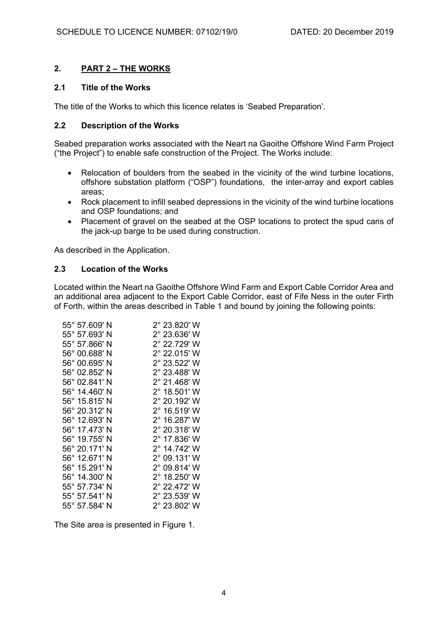# **2. PART 2 – THE WORKS**

### **2.1 Title of the Works**

The title of the Works to which this licence relates is 'Seabed Preparation'.

## **2.2 Description of the Works**

Seabed preparation works associated with the Neart na Gaoithe Offshore Wind Farm Project ("the Project") to enable safe construction of the Project. The Works include:

- Relocation of boulders from the seabed in the vicinity of the wind turbine locations, offshore substation platform ("OSP") foundations, the inter-array and export cables areas;
- Rock placement to infill seabed depressions in the vicinity of the wind turbine locations and OSP foundations; and
- Placement of gravel on the seabed at the OSP locations to protect the spud cans of the jack-up barge to be used during construction.

As described in the Application.

### **2.3 Location of the Works**

Located within the Neart na Gaoithe Offshore Wind Farm and Export Cable Corridor Area and an additional area adjacent to the Export Cable Corridor, east of Fife Ness in the outer Firth of Forth, within the areas described in Table 1 and bound by joining the following points:

| 55° 57.609' N | 2° 23.820' W                                                                                                                                                                                                                                                                                                                    |
|---------------|---------------------------------------------------------------------------------------------------------------------------------------------------------------------------------------------------------------------------------------------------------------------------------------------------------------------------------|
|               | 2° 23.636' W                                                                                                                                                                                                                                                                                                                    |
|               | 2° 22.729' W                                                                                                                                                                                                                                                                                                                    |
|               | 2° 22.015' W                                                                                                                                                                                                                                                                                                                    |
|               | 2° 23.522' W                                                                                                                                                                                                                                                                                                                    |
|               | 2° 23.488' W                                                                                                                                                                                                                                                                                                                    |
|               | 2° 21.468' W                                                                                                                                                                                                                                                                                                                    |
|               | 2° 18.501' W                                                                                                                                                                                                                                                                                                                    |
|               | 2° 20.192' W                                                                                                                                                                                                                                                                                                                    |
|               | 2° 16.519' W                                                                                                                                                                                                                                                                                                                    |
|               | 2° 16.287' W                                                                                                                                                                                                                                                                                                                    |
|               | 2° 20.318' W                                                                                                                                                                                                                                                                                                                    |
|               | 2° 17.836' W                                                                                                                                                                                                                                                                                                                    |
|               | 2° 14.742' W                                                                                                                                                                                                                                                                                                                    |
|               | 2° 09.131' W                                                                                                                                                                                                                                                                                                                    |
|               | 2° 09.814' W                                                                                                                                                                                                                                                                                                                    |
|               | 2° 18.250' W                                                                                                                                                                                                                                                                                                                    |
|               | 2° 22.472' W                                                                                                                                                                                                                                                                                                                    |
|               | 2° 23.539' W                                                                                                                                                                                                                                                                                                                    |
|               | 2° 23.802' W                                                                                                                                                                                                                                                                                                                    |
|               | 55° 57.693' N<br>55° 57.866' N<br>56° 00.688' N<br>56° 00.695' N<br>56° 02.852' N<br>56° 02.841' N<br>56° 14.460' N<br>56° 15.815' N<br>56° 20.312' N<br>56° 12.693' N<br>56° 17.473' N<br>56° 19.755' N<br>56° 20.171' N<br>56° 12.671' N<br>56° 15.291' N<br>56° 14.300' N<br>55° 57.734' N<br>55° 57.541' N<br>55° 57.584' N |

The Site area is presented in Figure 1.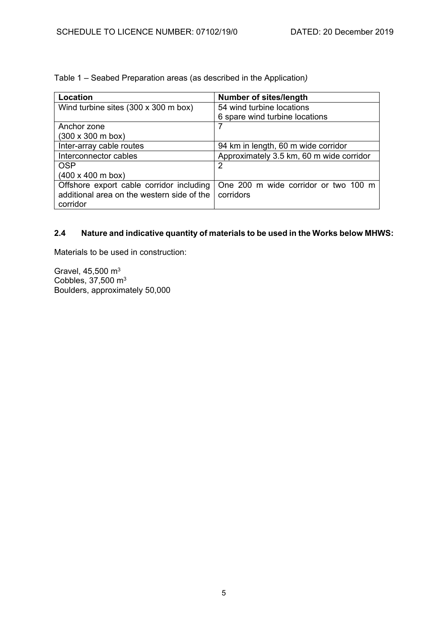Table 1 – Seabed Preparation areas (as described in the Application*)* 

| Location                                   | <b>Number of sites/length</b>            |
|--------------------------------------------|------------------------------------------|
| Wind turbine sites (300 x 300 m box)       | 54 wind turbine locations                |
|                                            | 6 spare wind turbine locations           |
| Anchor zone                                |                                          |
| $(300 \times 300 \text{ m box})$           |                                          |
| Inter-array cable routes                   | 94 km in length, 60 m wide corridor      |
| Interconnector cables                      | Approximately 3.5 km, 60 m wide corridor |
| <b>OSP</b>                                 | 2                                        |
| $(400 \times 400 \text{ m}$ box)           |                                          |
| Offshore export cable corridor including   | One 200 m wide corridor or two 100 m     |
| additional area on the western side of the | corridors                                |
| corridor                                   |                                          |

## **2.4 Nature and indicative quantity of materials to be used in the Works below MHWS:**

Materials to be used in construction:

Gravel, 45,500 m3 Cobbles, 37,500 m3 Boulders, approximately 50,000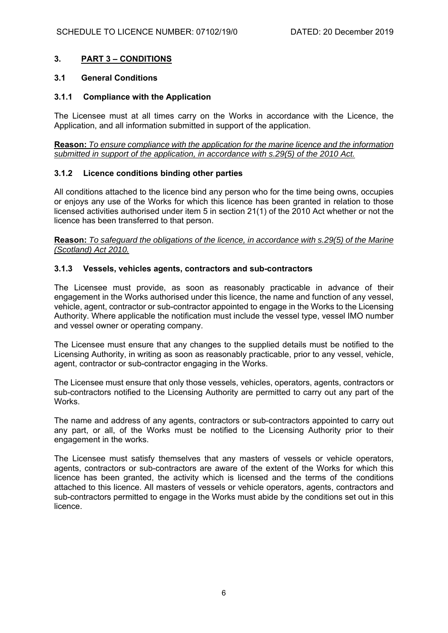## **3. PART 3 – CONDITIONS**

### **3.1 General Conditions**

### **3.1.1 Compliance with the Application**

The Licensee must at all times carry on the Works in accordance with the Licence, the Application, and all information submitted in support of the application.

**Reason:** *To ensure compliance with the application for the marine licence and the information submitted in support of the application, in accordance with s.29(5) of the 2010 Act.* 

#### **3.1.2 Licence conditions binding other parties**

All conditions attached to the licence bind any person who for the time being owns, occupies or enjoys any use of the Works for which this licence has been granted in relation to those licensed activities authorised under item 5 in section 21(1) of the 2010 Act whether or not the licence has been transferred to that person.

**Reason:** *To safeguard the obligations of the licence, in accordance with s.29(5) of the Marine (Scotland) Act 2010.*

### **3.1.3 Vessels, vehicles agents, contractors and sub-contractors**

The Licensee must provide, as soon as reasonably practicable in advance of their engagement in the Works authorised under this licence, the name and function of any vessel, vehicle, agent, contractor or sub-contractor appointed to engage in the Works to the Licensing Authority. Where applicable the notification must include the vessel type, vessel IMO number and vessel owner or operating company.

The Licensee must ensure that any changes to the supplied details must be notified to the Licensing Authority, in writing as soon as reasonably practicable, prior to any vessel, vehicle, agent, contractor or sub-contractor engaging in the Works.

The Licensee must ensure that only those vessels, vehicles, operators, agents, contractors or sub-contractors notified to the Licensing Authority are permitted to carry out any part of the Works.

The name and address of any agents, contractors or sub-contractors appointed to carry out any part, or all, of the Works must be notified to the Licensing Authority prior to their engagement in the works.

The Licensee must satisfy themselves that any masters of vessels or vehicle operators, agents, contractors or sub-contractors are aware of the extent of the Works for which this licence has been granted, the activity which is licensed and the terms of the conditions attached to this licence. All masters of vessels or vehicle operators, agents, contractors and sub-contractors permitted to engage in the Works must abide by the conditions set out in this licence.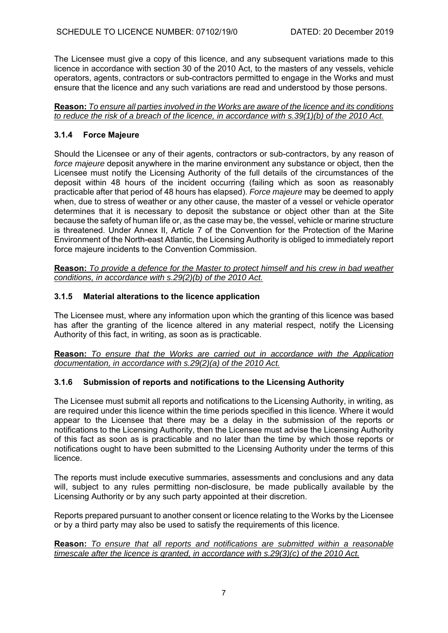The Licensee must give a copy of this licence, and any subsequent variations made to this licence in accordance with section 30 of the 2010 Act, to the masters of any vessels, vehicle operators, agents, contractors or sub-contractors permitted to engage in the Works and must ensure that the licence and any such variations are read and understood by those persons.

#### **Reason:** *To ensure all parties involved in the Works are aware of the licence and its conditions to reduce the risk of a breach of the licence, in accordance with s.39(1)(b) of the 2010 Act.*

# **3.1.4 Force Majeure**

Should the Licensee or any of their agents, contractors or sub-contractors, by any reason of *force majeure* deposit anywhere in the marine environment any substance or object, then the Licensee must notify the Licensing Authority of the full details of the circumstances of the deposit within 48 hours of the incident occurring (failing which as soon as reasonably practicable after that period of 48 hours has elapsed). *Force majeure* may be deemed to apply when, due to stress of weather or any other cause, the master of a vessel or vehicle operator determines that it is necessary to deposit the substance or object other than at the Site because the safety of human life or, as the case may be, the vessel, vehicle or marine structure is threatened. Under Annex II, Article 7 of the Convention for the Protection of the Marine Environment of the North-east Atlantic, the Licensing Authority is obliged to immediately report force majeure incidents to the Convention Commission.

**Reason:** *To provide a defence for the Master to protect himself and his crew in bad weather conditions, in accordance with s.29(2)(b) of the 2010 Act.*

# **3.1.5 Material alterations to the licence application**

The Licensee must, where any information upon which the granting of this licence was based has after the granting of the licence altered in any material respect, notify the Licensing Authority of this fact, in writing, as soon as is practicable.

**Reason:** *To ensure that the Works are carried out in accordance with the Application documentation, in accordance with s.29(2)(a) of the 2010 Act.*

# **3.1.6 Submission of reports and notifications to the Licensing Authority**

The Licensee must submit all reports and notifications to the Licensing Authority, in writing, as are required under this licence within the time periods specified in this licence. Where it would appear to the Licensee that there may be a delay in the submission of the reports or notifications to the Licensing Authority, then the Licensee must advise the Licensing Authority of this fact as soon as is practicable and no later than the time by which those reports or notifications ought to have been submitted to the Licensing Authority under the terms of this licence.

The reports must include executive summaries, assessments and conclusions and any data will, subject to any rules permitting non-disclosure, be made publically available by the Licensing Authority or by any such party appointed at their discretion.

Reports prepared pursuant to another consent or licence relating to the Works by the Licensee or by a third party may also be used to satisfy the requirements of this licence.

#### **Reason:** *To ensure that all reports and notifications are submitted within a reasonable timescale after the licence is granted, in accordance with s.29(3)(c) of the 2010 Act.*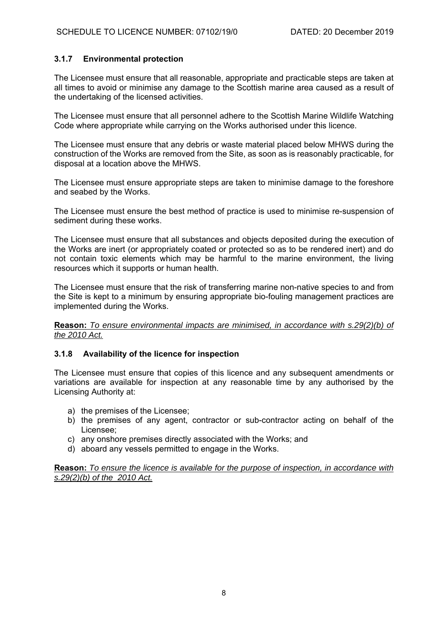## **3.1.7 Environmental protection**

The Licensee must ensure that all reasonable, appropriate and practicable steps are taken at all times to avoid or minimise any damage to the Scottish marine area caused as a result of the undertaking of the licensed activities.

The Licensee must ensure that all personnel adhere to the Scottish Marine Wildlife Watching Code where appropriate while carrying on the Works authorised under this licence.

The Licensee must ensure that any debris or waste material placed below MHWS during the construction of the Works are removed from the Site, as soon as is reasonably practicable, for disposal at a location above the MHWS.

The Licensee must ensure appropriate steps are taken to minimise damage to the foreshore and seabed by the Works.

The Licensee must ensure the best method of practice is used to minimise re-suspension of sediment during these works.

The Licensee must ensure that all substances and objects deposited during the execution of the Works are inert (or appropriately coated or protected so as to be rendered inert) and do not contain toxic elements which may be harmful to the marine environment, the living resources which it supports or human health.

The Licensee must ensure that the risk of transferring marine non-native species to and from the Site is kept to a minimum by ensuring appropriate bio-fouling management practices are implemented during the Works.

**Reason:** *To ensure environmental impacts are minimised, in accordance with s.29(2)(b) of the 2010 Act.*

### **3.1.8 Availability of the licence for inspection**

The Licensee must ensure that copies of this licence and any subsequent amendments or variations are available for inspection at any reasonable time by any authorised by the Licensing Authority at:

- a) the premises of the Licensee;
- b) the premises of any agent, contractor or sub-contractor acting on behalf of the Licensee;
- c) any onshore premises directly associated with the Works; and
- d) aboard any vessels permitted to engage in the Works.

**Reason:** *To ensure the licence is available for the purpose of inspection, in accordance with s.29(2)(b) of the 2010 Act.*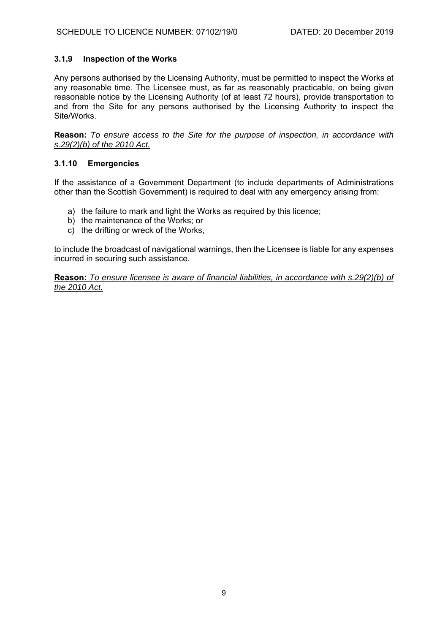## **3.1.9 Inspection of the Works**

Any persons authorised by the Licensing Authority, must be permitted to inspect the Works at any reasonable time. The Licensee must, as far as reasonably practicable, on being given reasonable notice by the Licensing Authority (of at least 72 hours), provide transportation to and from the Site for any persons authorised by the Licensing Authority to inspect the Site/Works.

**Reason:** *To ensure access to the Site for the purpose of inspection, in accordance with s.29(2)(b) of the 2010 Act.* 

### **3.1.10 Emergencies**

If the assistance of a Government Department (to include departments of Administrations other than the Scottish Government) is required to deal with any emergency arising from:

- a) the failure to mark and light the Works as required by this licence;
- b) the maintenance of the Works; or
- c) the drifting or wreck of the Works,

to include the broadcast of navigational warnings, then the Licensee is liable for any expenses incurred in securing such assistance.

**Reason:** *To ensure licensee is aware of financial liabilities, in accordance with s.29(2)(b) of the 2010 Act.*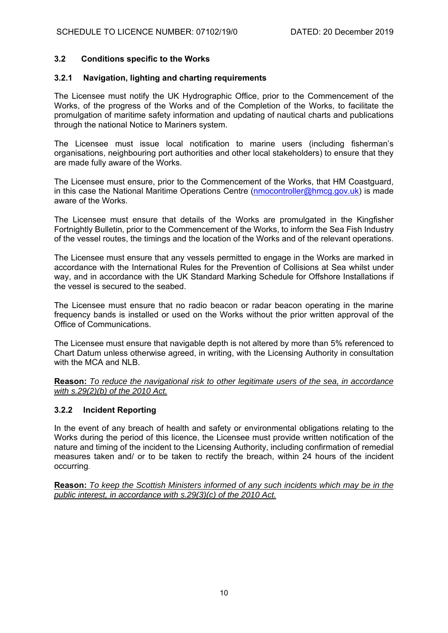### **3.2 Conditions specific to the Works**

#### **3.2.1 Navigation, lighting and charting requirements**

The Licensee must notify the UK Hydrographic Office, prior to the Commencement of the Works, of the progress of the Works and of the Completion of the Works, to facilitate the promulgation of maritime safety information and updating of nautical charts and publications through the national Notice to Mariners system.

The Licensee must issue local notification to marine users (including fisherman's organisations, neighbouring port authorities and other local stakeholders) to ensure that they are made fully aware of the Works.

The Licensee must ensure, prior to the Commencement of the Works, that HM Coastguard, in this case the National Maritime Operations Centre (nmocontroller@hmcg.gov.uk) is made aware of the Works.

The Licensee must ensure that details of the Works are promulgated in the Kingfisher Fortnightly Bulletin, prior to the Commencement of the Works, to inform the Sea Fish Industry of the vessel routes, the timings and the location of the Works and of the relevant operations.

The Licensee must ensure that any vessels permitted to engage in the Works are marked in accordance with the International Rules for the Prevention of Collisions at Sea whilst under way, and in accordance with the UK Standard Marking Schedule for Offshore Installations if the vessel is secured to the seabed.

The Licensee must ensure that no radio beacon or radar beacon operating in the marine frequency bands is installed or used on the Works without the prior written approval of the Office of Communications.

The Licensee must ensure that navigable depth is not altered by more than 5% referenced to Chart Datum unless otherwise agreed, in writing, with the Licensing Authority in consultation with the MCA and NLB.

**Reason:** *To reduce the navigational risk to other legitimate users of the sea, in accordance with s.29(2)(b) of the 2010 Act.* 

### **3.2.2 Incident Reporting**

In the event of any breach of health and safety or environmental obligations relating to the Works during the period of this licence, the Licensee must provide written notification of the nature and timing of the incident to the Licensing Authority, including confirmation of remedial measures taken and/ or to be taken to rectify the breach, within 24 hours of the incident occurring.

**Reason:** *To keep the Scottish Ministers informed of any such incidents which may be in the public interest, in accordance with s.29(3)(c) of the 2010 Act.*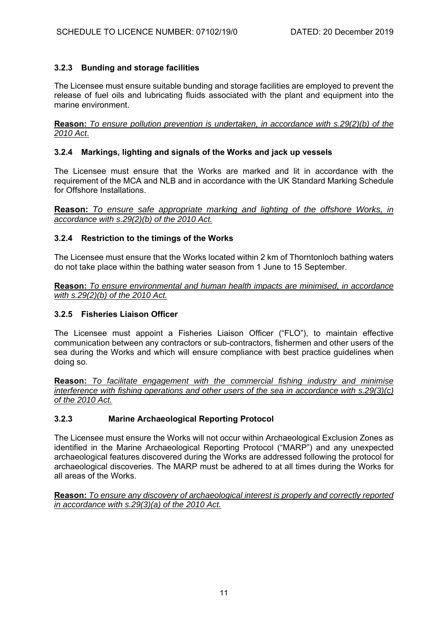# **3.2.3 Bunding and storage facilities**

The Licensee must ensure suitable bunding and storage facilities are employed to prevent the release of fuel oils and lubricating fluids associated with the plant and equipment into the marine environment.

**Reason:** *To ensure pollution prevention is undertaken, in accordance with s.29(2)(b) of the 2010 Act*.

## **3.2.4 Markings, lighting and signals of the Works and jack up vessels**

The Licensee must ensure that the Works are marked and lit in accordance with the requirement of the MCA and NLB and in accordance with the UK Standard Marking Schedule for Offshore Installations.

**Reason:** *To ensure safe appropriate marking and lighting of the offshore Works, in accordance with s.29(2)(b) of the 2010 Act.* 

## **3.2.4 Restriction to the timings of the Works**

The Licensee must ensure that the Works located within 2 km of Thorntonloch bathing waters do not take place within the bathing water season from 1 June to 15 September.

**Reason:** *To ensure environmental and human health impacts are minimised, in accordance with s.29(2)(b) of the 2010 Act.* 

## **3.2.5 Fisheries Liaison Officer**

The Licensee must appoint a Fisheries Liaison Officer ("FLO"), to maintain effective communication between any contractors or sub-contractors, fishermen and other users of the sea during the Works and which will ensure compliance with best practice guidelines when doing so.

**Reason:** *To facilitate engagement with the commercial fishing industry and minimise interference with fishing operations and other users of the sea in accordance with s.29(3)(c) of the 2010 Act.* 

# **3.2.3 Marine Archaeological Reporting Protocol**

The Licensee must ensure the Works will not occur within Archaeological Exclusion Zones as identified in the Marine Archaeological Reporting Protocol ("MARP") and any unexpected archaeological features discovered during the Works are addressed following the protocol for archaeological discoveries. The MARP must be adhered to at all times during the Works for all areas of the Works.

**Reason:** *To ensure any discovery of archaeological interest is properly and correctly reported in accordance with s.29(3)(a) of the 2010 Act.*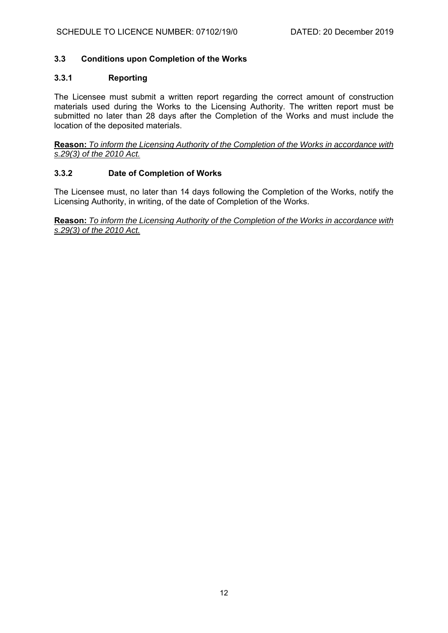## **3.3 Conditions upon Completion of the Works**

### **3.3.1 Reporting**

The Licensee must submit a written report regarding the correct amount of construction materials used during the Works to the Licensing Authority. The written report must be submitted no later than 28 days after the Completion of the Works and must include the location of the deposited materials.

**Reason:** *To inform the Licensing Authority of the Completion of the Works in accordance with s.29(3) of the 2010 Act.*

### **3.3.2 Date of Completion of Works**

The Licensee must, no later than 14 days following the Completion of the Works, notify the Licensing Authority, in writing, of the date of Completion of the Works.

**Reason:** *To inform the Licensing Authority of the Completion of the Works in accordance with s.29(3) of the 2010 Act.*